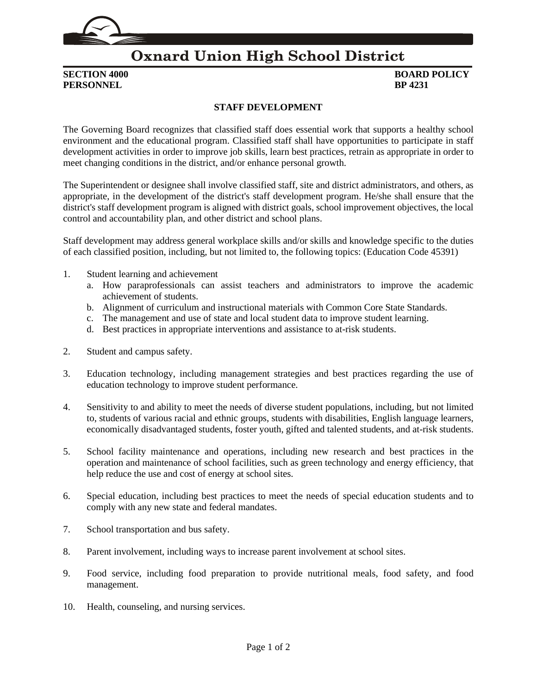

## **Oxnard Union High School District**

**PERSONNEL** 

## **SECTION 4000 BOARD POLICY**<br>**PERSONNEL BP 4231**

## **STAFF DEVELOPMENT**

The Governing Board recognizes that classified staff does essential work that supports a healthy school environment and the educational program. Classified staff shall have opportunities to participate in staff development activities in order to improve job skills, learn best practices, retrain as appropriate in order to meet changing conditions in the district, and/or enhance personal growth.

The Superintendent or designee shall involve classified staff, site and district administrators, and others, as appropriate, in the development of the district's staff development program. He/she shall ensure that the district's staff development program is aligned with district goals, school improvement objectives, the local control and accountability plan, and other district and school plans.

Staff development may address general workplace skills and/or skills and knowledge specific to the duties of each classified position, including, but not limited to, the following topics: (Education Code [45391\)](http://gamutonline.net/displayPolicy/881241/4)

- 1. Student learning and achievement
	- a. How paraprofessionals can assist teachers and administrators to improve the academic achievement of students.
	- b. Alignment of curriculum and instructional materials with Common Core State Standards.
	- c. The management and use of state and local student data to improve student learning.
	- d. Best practices in appropriate interventions and assistance to at-risk students.
- 2. Student and campus safety.
- 3. Education technology, including management strategies and best practices regarding the use of education technology to improve student performance.
- 4. Sensitivity to and ability to meet the needs of diverse student populations, including, but not limited to, students of various racial and ethnic groups, students with disabilities, English language learners, economically disadvantaged students, foster youth, gifted and talented students, and at-risk students.
- 5. School facility maintenance and operations, including new research and best practices in the operation and maintenance of school facilities, such as green technology and energy efficiency, that help reduce the use and cost of energy at school sites.
- 6. Special education, including best practices to meet the needs of special education students and to comply with any new state and federal mandates.
- 7. School transportation and bus safety.
- 8. Parent involvement, including ways to increase parent involvement at school sites.
- 9. Food service, including food preparation to provide nutritional meals, food safety, and food management.
- 10. Health, counseling, and nursing services.